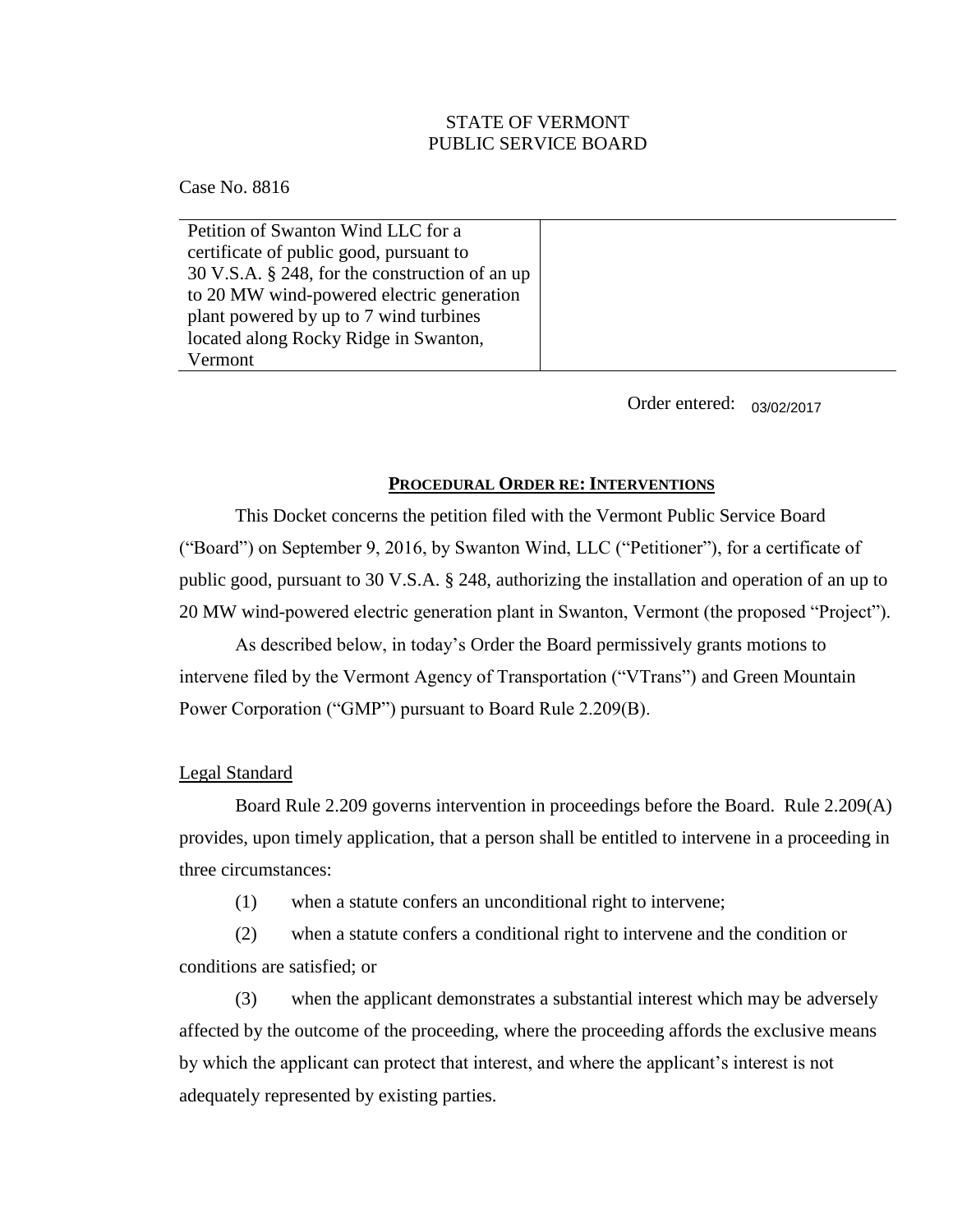# STATE OF VERMONT PUBLIC SERVICE BOARD

Case No. 8816

Petition of Swanton Wind LLC for a certificate of public good, pursuant to 30 V.S.A. § 248, for the construction of an up to 20 MW wind-powered electric generation plant powered by up to 7 wind turbines located along Rocky Ridge in Swanton, Vermont

Order entered: 03/02/2017

## **PROCEDURAL ORDER RE: INTERVENTIONS**

This Docket concerns the petition filed with the Vermont Public Service Board ("Board") on September 9, 2016, by Swanton Wind, LLC ("Petitioner"), for a certificate of public good, pursuant to 30 V.S.A. § 248, authorizing the installation and operation of an up to 20 MW wind-powered electric generation plant in Swanton, Vermont (the proposed "Project").

As described below, in today's Order the Board permissively grants motions to intervene filed by the Vermont Agency of Transportation ("VTrans") and Green Mountain Power Corporation ("GMP") pursuant to Board Rule 2.209(B).

## Legal Standard

Board Rule 2.209 governs intervention in proceedings before the Board. Rule 2.209(A) provides, upon timely application, that a person shall be entitled to intervene in a proceeding in three circumstances:

(1) when a statute confers an unconditional right to intervene;

(2) when a statute confers a conditional right to intervene and the condition or conditions are satisfied; or

(3) when the applicant demonstrates a substantial interest which may be adversely affected by the outcome of the proceeding, where the proceeding affords the exclusive means by which the applicant can protect that interest, and where the applicant's interest is not adequately represented by existing parties.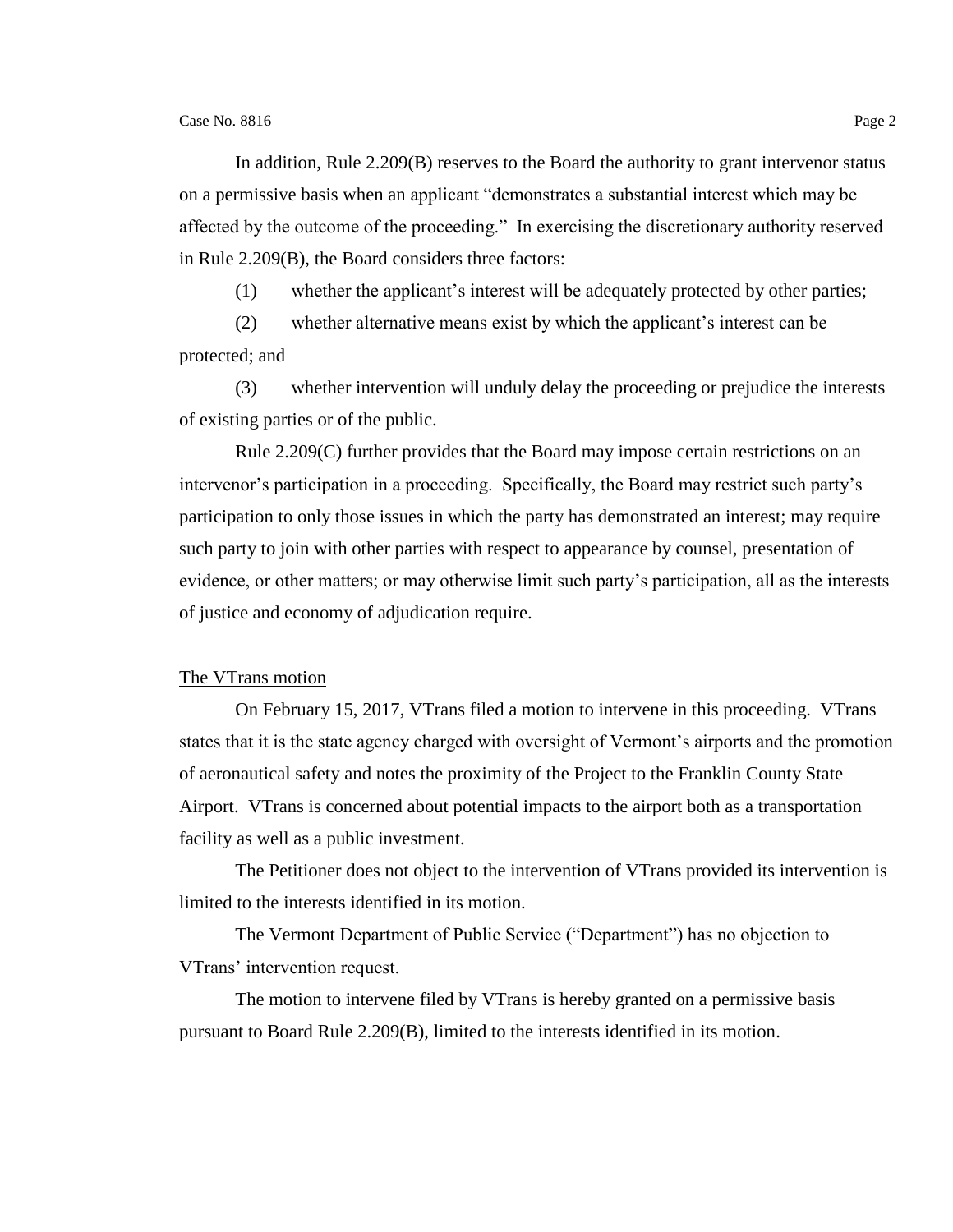In addition, Rule 2.209(B) reserves to the Board the authority to grant intervenor status on a permissive basis when an applicant "demonstrates a substantial interest which may be affected by the outcome of the proceeding." In exercising the discretionary authority reserved in Rule 2.209(B), the Board considers three factors:

(1) whether the applicant's interest will be adequately protected by other parties;

(2) whether alternative means exist by which the applicant's interest can be protected; and

(3) whether intervention will unduly delay the proceeding or prejudice the interests of existing parties or of the public.

Rule 2.209(C) further provides that the Board may impose certain restrictions on an intervenor's participation in a proceeding. Specifically, the Board may restrict such party's participation to only those issues in which the party has demonstrated an interest; may require such party to join with other parties with respect to appearance by counsel, presentation of evidence, or other matters; or may otherwise limit such party's participation, all as the interests of justice and economy of adjudication require.

#### The VTrans motion

On February 15, 2017, VTrans filed a motion to intervene in this proceeding. VTrans states that it is the state agency charged with oversight of Vermont's airports and the promotion of aeronautical safety and notes the proximity of the Project to the Franklin County State Airport. VTrans is concerned about potential impacts to the airport both as a transportation facility as well as a public investment.

The Petitioner does not object to the intervention of VTrans provided its intervention is limited to the interests identified in its motion.

The Vermont Department of Public Service ("Department") has no objection to VTrans' intervention request.

The motion to intervene filed by VTrans is hereby granted on a permissive basis pursuant to Board Rule 2.209(B), limited to the interests identified in its motion.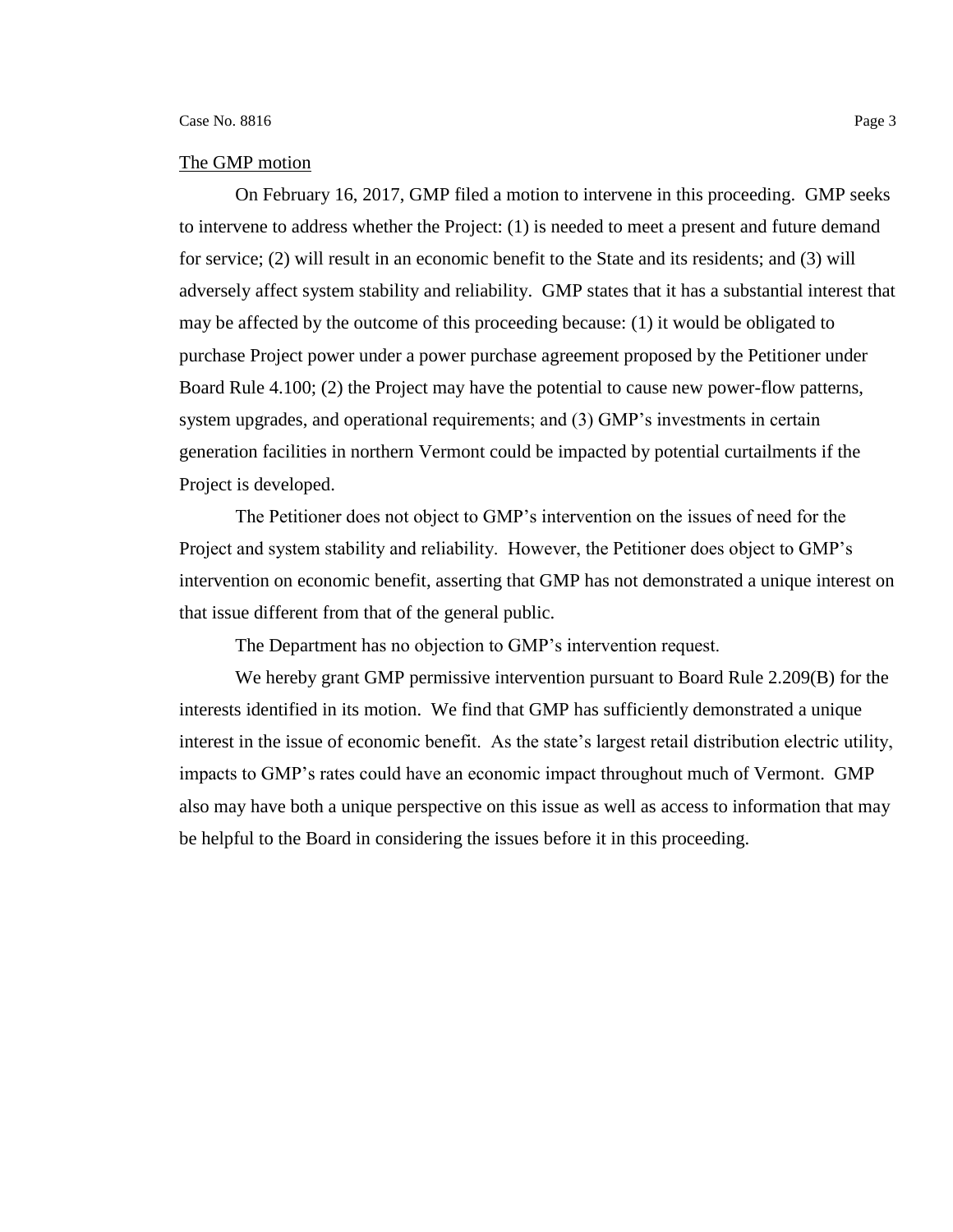### The GMP motion

On February 16, 2017, GMP filed a motion to intervene in this proceeding. GMP seeks to intervene to address whether the Project: (1) is needed to meet a present and future demand for service; (2) will result in an economic benefit to the State and its residents; and (3) will adversely affect system stability and reliability. GMP states that it has a substantial interest that may be affected by the outcome of this proceeding because: (1) it would be obligated to purchase Project power under a power purchase agreement proposed by the Petitioner under Board Rule 4.100; (2) the Project may have the potential to cause new power-flow patterns, system upgrades, and operational requirements; and (3) GMP's investments in certain generation facilities in northern Vermont could be impacted by potential curtailments if the Project is developed.

The Petitioner does not object to GMP's intervention on the issues of need for the Project and system stability and reliability. However, the Petitioner does object to GMP's intervention on economic benefit, asserting that GMP has not demonstrated a unique interest on that issue different from that of the general public.

The Department has no objection to GMP's intervention request.

We hereby grant GMP permissive intervention pursuant to Board Rule 2.209(B) for the interests identified in its motion. We find that GMP has sufficiently demonstrated a unique interest in the issue of economic benefit. As the state's largest retail distribution electric utility, impacts to GMP's rates could have an economic impact throughout much of Vermont. GMP also may have both a unique perspective on this issue as well as access to information that may be helpful to the Board in considering the issues before it in this proceeding.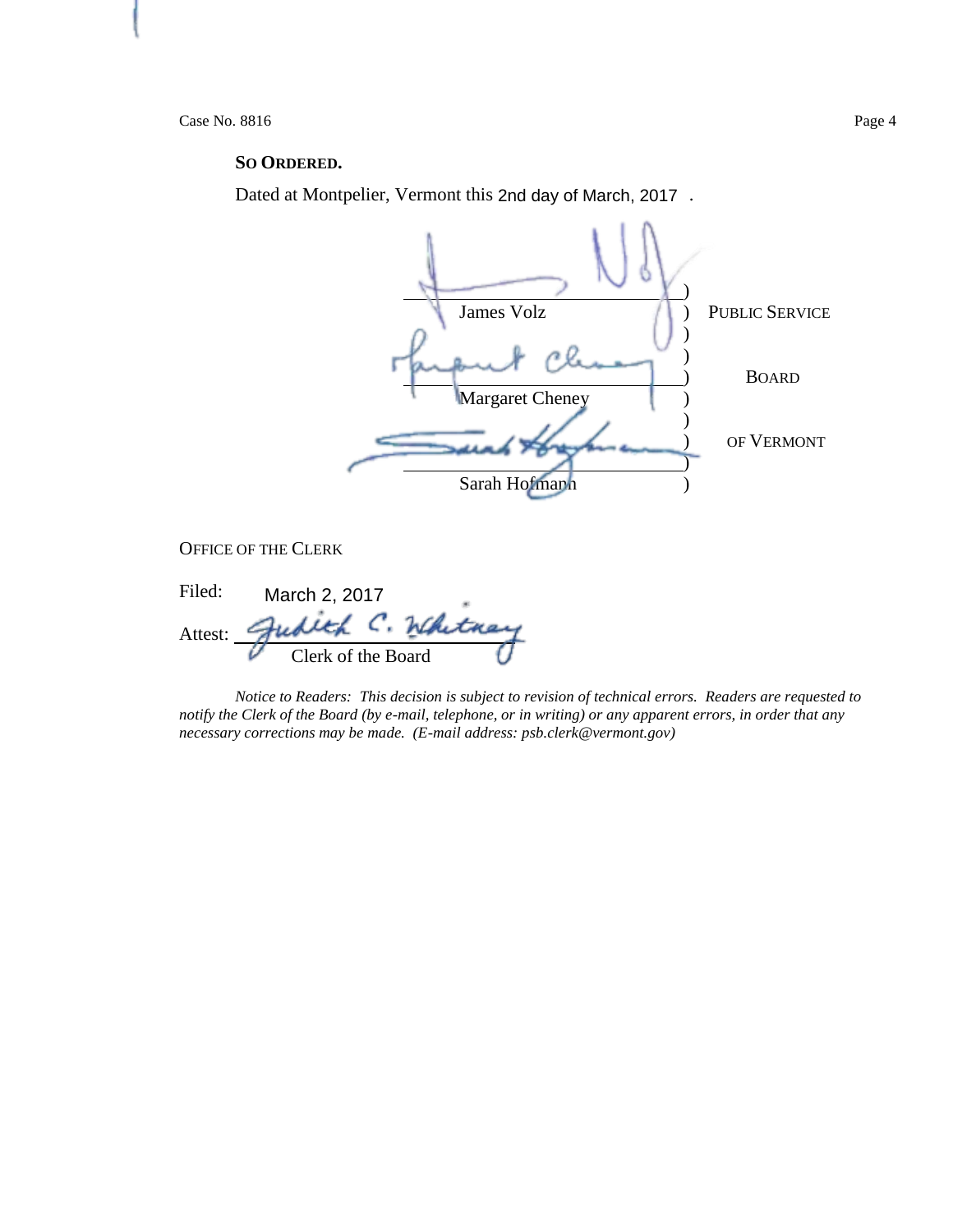Case No. 8816 Page 4

## **SO ORDERED.**

Dated at Montpelier, Vermont this 2nd day of March, 2017.



OFFICE OF THE CLERK

| Filed:  | March 2, 2017      |                 |
|---------|--------------------|-----------------|
| Attest: |                    | $h/R$ , $f_{H}$ |
|         | Clerk of the Board |                 |

*Notice to Readers: This decision is subject to revision of technical errors. Readers are requested to notify the Clerk of the Board (by e-mail, telephone, or in writing) or any apparent errors, in order that any necessary corrections may be made. (E-mail address: psb.clerk@vermont.gov)*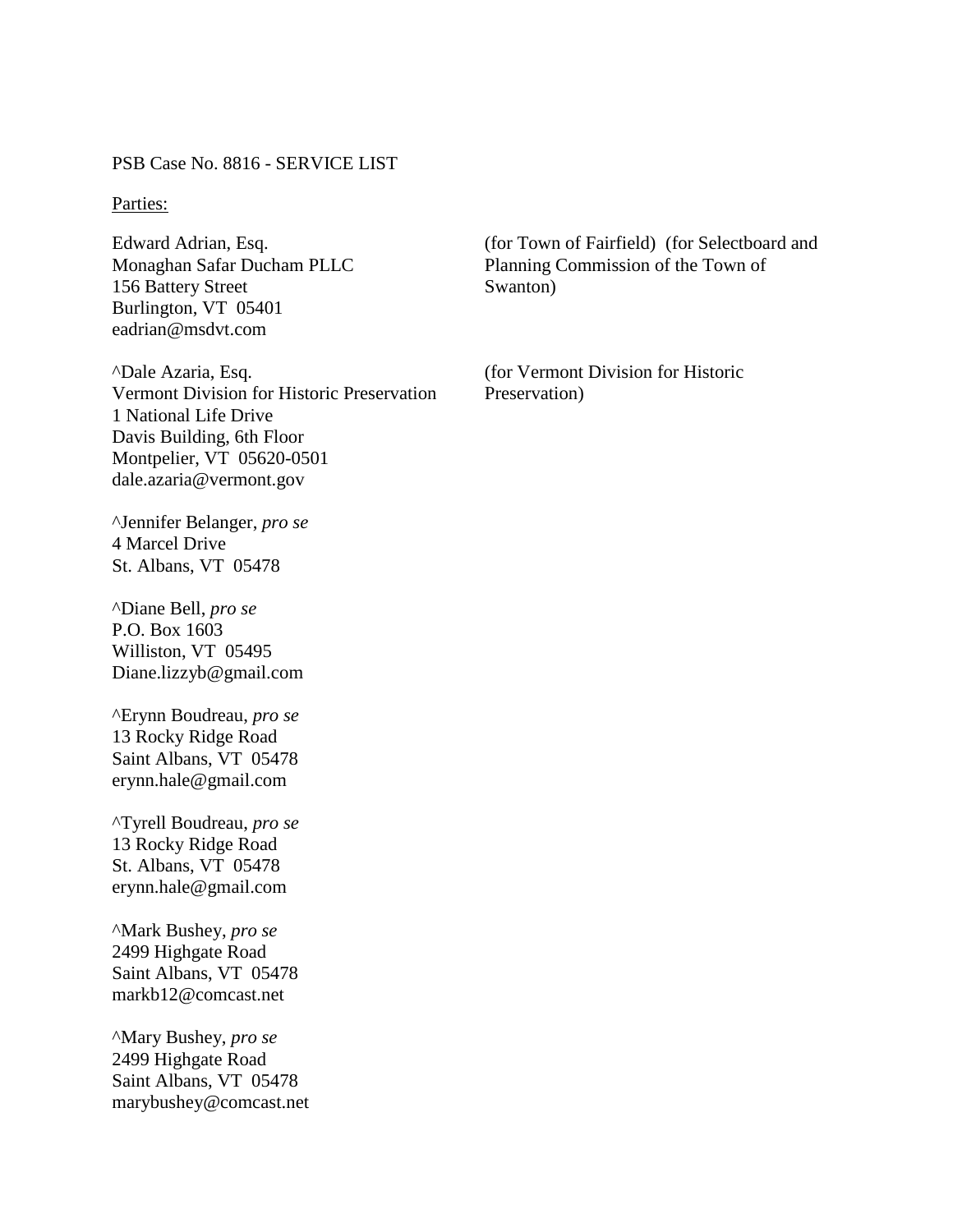PSB Case No. 8816 - SERVICE LIST

## Parties:

Edward Adrian, Esq. Monaghan Safar Ducham PLLC 156 Battery Street Burlington, VT 05401 eadrian@msdvt.com

^Dale Azaria, Esq. Vermont Division for Historic Preservation 1 National Life Drive Davis Building, 6th Floor Montpelier, VT 05620-0501 dale.azaria@vermont.gov

^Jennifer Belanger, *pro se* 4 Marcel Drive St. Albans, VT 05478

^Diane Bell, *pro se* P.O. Box 1603 Williston, VT 05495 Diane.lizzyb@gmail.com

^Erynn Boudreau, *pro se* 13 Rocky Ridge Road Saint Albans, VT 05478 erynn.hale@gmail.com

^Tyrell Boudreau, *pro se* 13 Rocky Ridge Road St. Albans, VT 05478 erynn.hale@gmail.com

^Mark Bushey, *pro se* 2499 Highgate Road Saint Albans, VT 05478 markb12@comcast.net

^Mary Bushey, *pro se* 2499 Highgate Road Saint Albans, VT 05478 marybushey@comcast.net (for Town of Fairfield) (for Selectboard and Planning Commission of the Town of Swanton)

(for Vermont Division for Historic Preservation)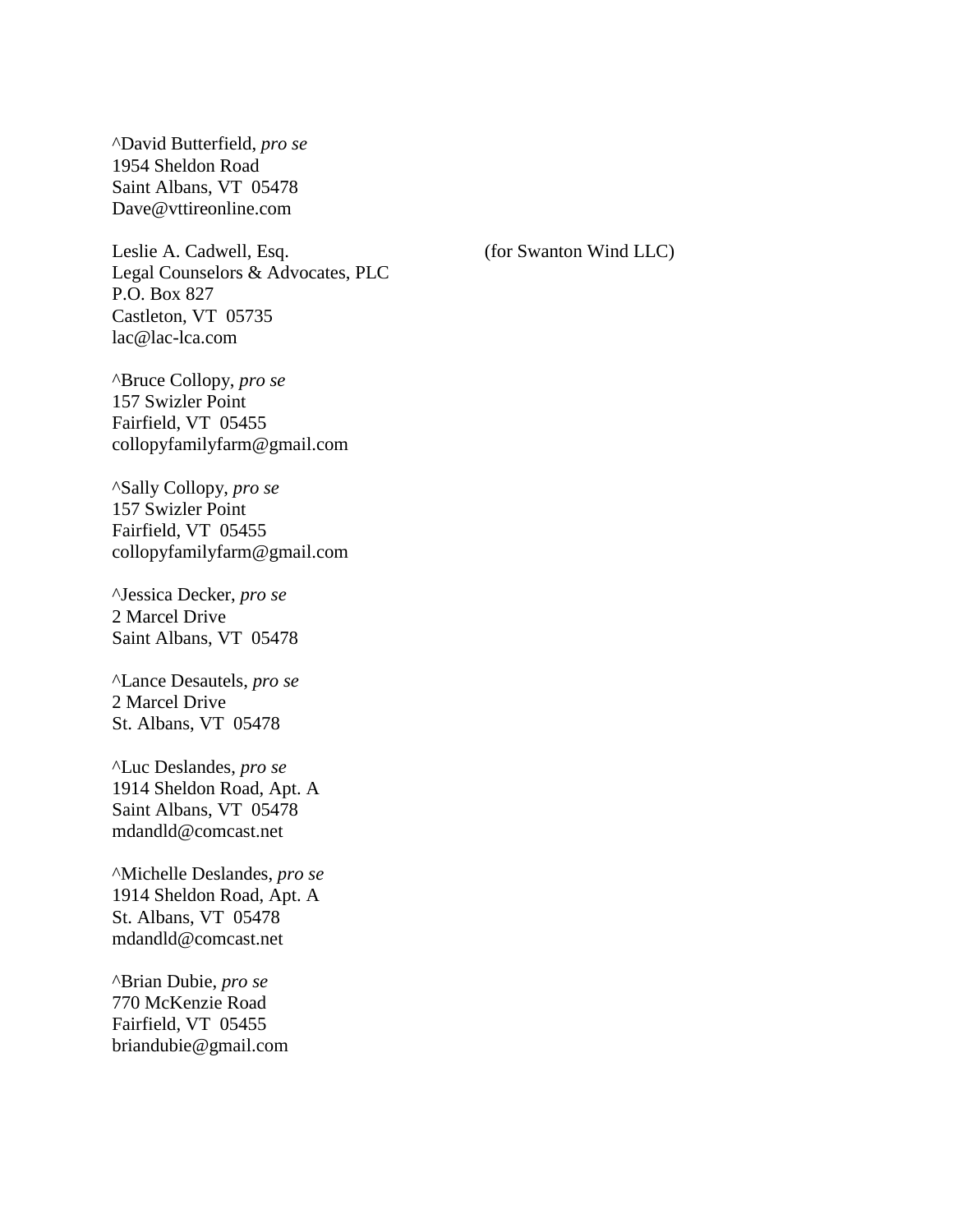^David Butterfield, *pro se* 1954 Sheldon Road Saint Albans, VT 05478 Dave@vttireonline.com

Leslie A. Cadwell, Esq. Legal Counselors & Advocates, PLC P.O. Box 827 Castleton, VT 05735 lac@lac-lca.com

^Bruce Collopy, *pro se* 157 Swizler Point Fairfield, VT 05455 collopyfamilyfarm@gmail.com

^Sally Collopy, *pro se* 157 Swizler Point Fairfield, VT 05455 collopyfamilyfarm@gmail.com

^Jessica Decker, *pro se* 2 Marcel Drive Saint Albans, VT 05478

^Lance Desautels, *pro se* 2 Marcel Drive St. Albans, VT 05478

^Luc Deslandes, *pro se* 1914 Sheldon Road, Apt. A Saint Albans, VT 05478 mdandld@comcast.net

^Michelle Deslandes, *pro se* 1914 Sheldon Road, Apt. A St. Albans, VT 05478 mdandld@comcast.net

^Brian Dubie, *pro se* 770 McKenzie Road Fairfield, VT 05455 briandubie@gmail.com (for Swanton Wind LLC)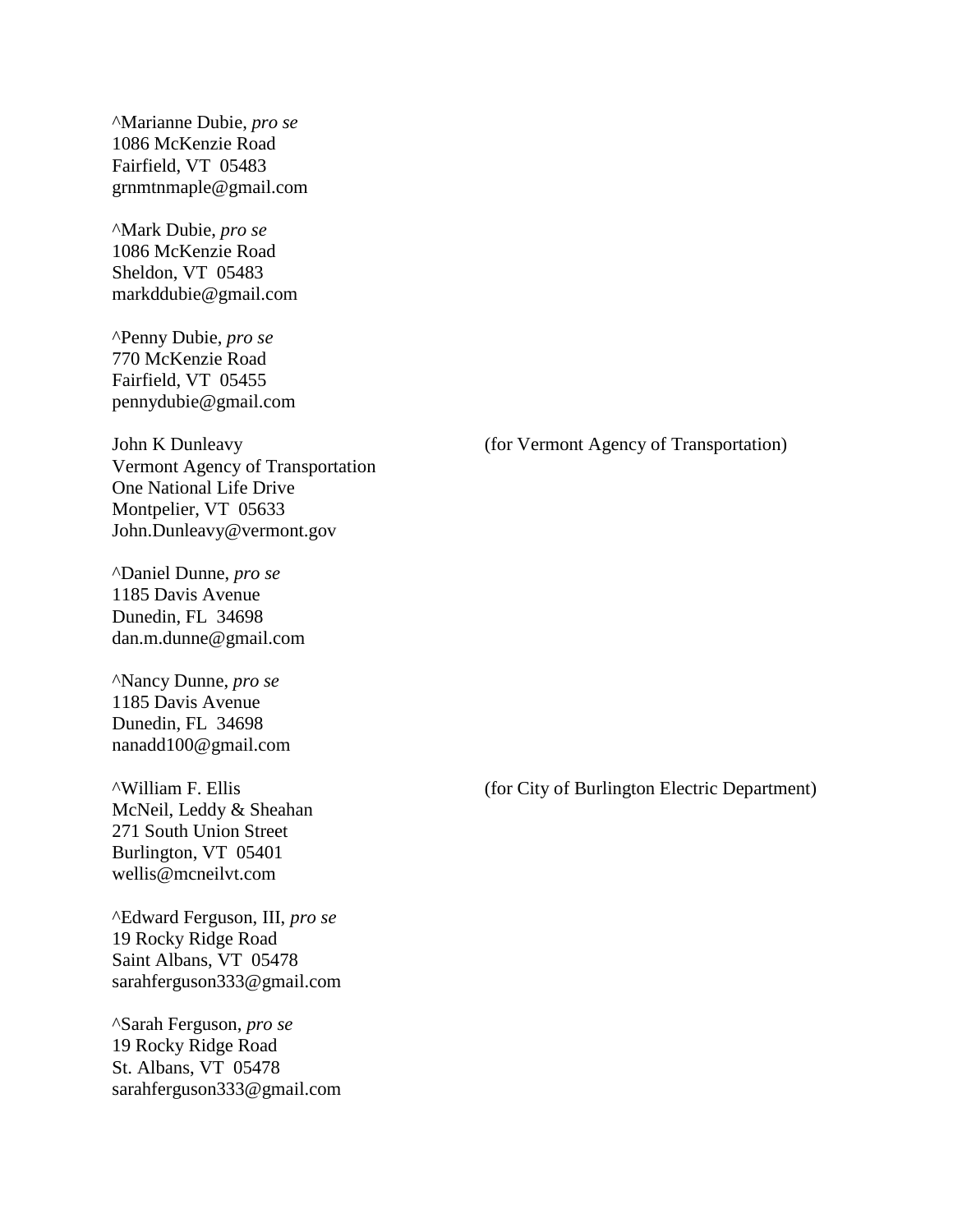^Marianne Dubie, *pro se* 1086 McKenzie Road Fairfield, VT 05483 grnmtnmaple@gmail.com

^Mark Dubie, *pro se* 1086 McKenzie Road Sheldon, VT 05483 markddubie@gmail.com

^Penny Dubie, *pro se* 770 McKenzie Road Fairfield, VT 05455 pennydubie@gmail.com

John K Dunleavy Vermont Agency of Transportation One National Life Drive Montpelier, VT 05633 John.Dunleavy@vermont.gov

^Daniel Dunne, *pro se* 1185 Davis Avenue Dunedin, FL 34698 dan.m.dunne@gmail.com

^Nancy Dunne, *pro se* 1185 Davis Avenue Dunedin, FL 34698 nanadd100@gmail.com

^William F. Ellis McNeil, Leddy & Sheahan 271 South Union Street Burlington, VT 05401 wellis@mcneilvt.com

^Edward Ferguson, III, *pro se* 19 Rocky Ridge Road Saint Albans, VT 05478 sarahferguson333@gmail.com

^Sarah Ferguson, *pro se* 19 Rocky Ridge Road St. Albans, VT 05478 sarahferguson333@gmail.com (for Vermont Agency of Transportation)

(for City of Burlington Electric Department)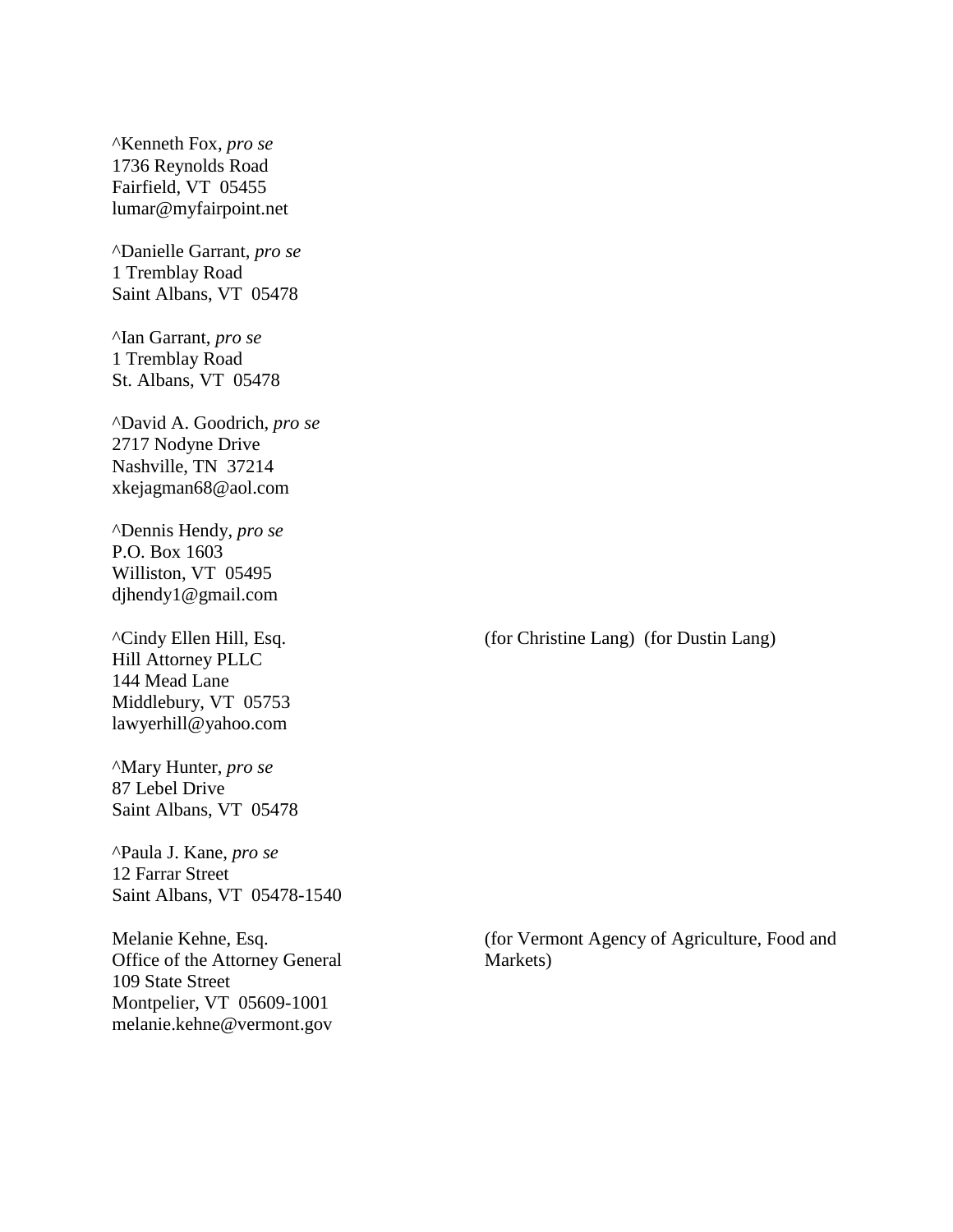^Kenneth Fox, *pro se* 1736 Reynolds Road Fairfield, VT 05455 lumar@myfairpoint.net

^Danielle Garrant, *pro se* 1 Tremblay Road Saint Albans, VT 05478

^Ian Garrant, *pro se* 1 Tremblay Road St. Albans, VT 05478

^David A. Goodrich, *pro se* 2717 Nodyne Drive Nashville, TN 37214 xkejagman68@aol.com

^Dennis Hendy, *pro se* P.O. Box 1603 Williston, VT 05495 djhendy1@gmail.com

^Cindy Ellen Hill, Esq. Hill Attorney PLLC 144 Mead Lane Middlebury, VT 05753 lawyerhill@yahoo.com

^Mary Hunter, *pro se* 87 Lebel Drive Saint Albans, VT 05478

^Paula J. Kane, *pro se* 12 Farrar Street Saint Albans, VT 05478-1540

Melanie Kehne, Esq. Office of the Attorney General 109 State Street Montpelier, VT 05609-1001 melanie.kehne@vermont.gov

(for Christine Lang) (for Dustin Lang)

(for Vermont Agency of Agriculture, Food and Markets)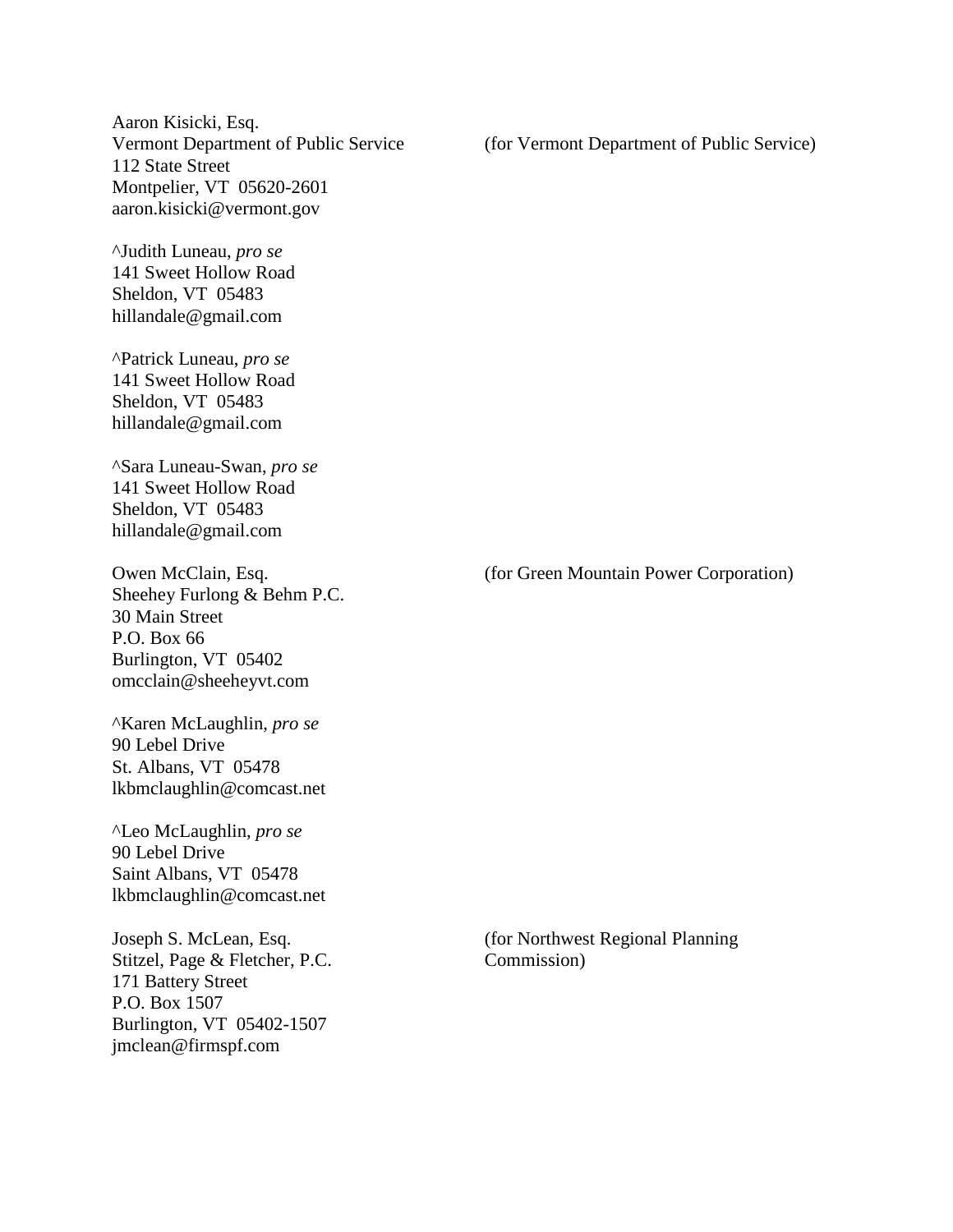Aaron Kisicki, Esq. Vermont Department of Public Service 112 State Street Montpelier, VT 05620-2601 aaron.kisicki@vermont.gov

^Judith Luneau, *pro se* 141 Sweet Hollow Road Sheldon, VT 05483 hillandale@gmail.com

^Patrick Luneau, *pro se* 141 Sweet Hollow Road Sheldon, VT 05483 hillandale@gmail.com

^Sara Luneau-Swan, *pro se* 141 Sweet Hollow Road Sheldon, VT 05483 hillandale@gmail.com

Owen McClain, Esq. Sheehey Furlong & Behm P.C. 30 Main Street P.O. Box 66 Burlington, VT 05402 omcclain@sheeheyvt.com

^Karen McLaughlin, *pro se* 90 Lebel Drive St. Albans, VT 05478 lkbmclaughlin@comcast.net

^Leo McLaughlin, *pro se* 90 Lebel Drive Saint Albans, VT 05478 lkbmclaughlin@comcast.net

Joseph S. McLean, Esq. Stitzel, Page & Fletcher, P.C. 171 Battery Street P.O. Box 1507 Burlington, VT 05402-1507 jmclean@firmspf.com

(for Vermont Department of Public Service)

(for Green Mountain Power Corporation)

(for Northwest Regional Planning Commission)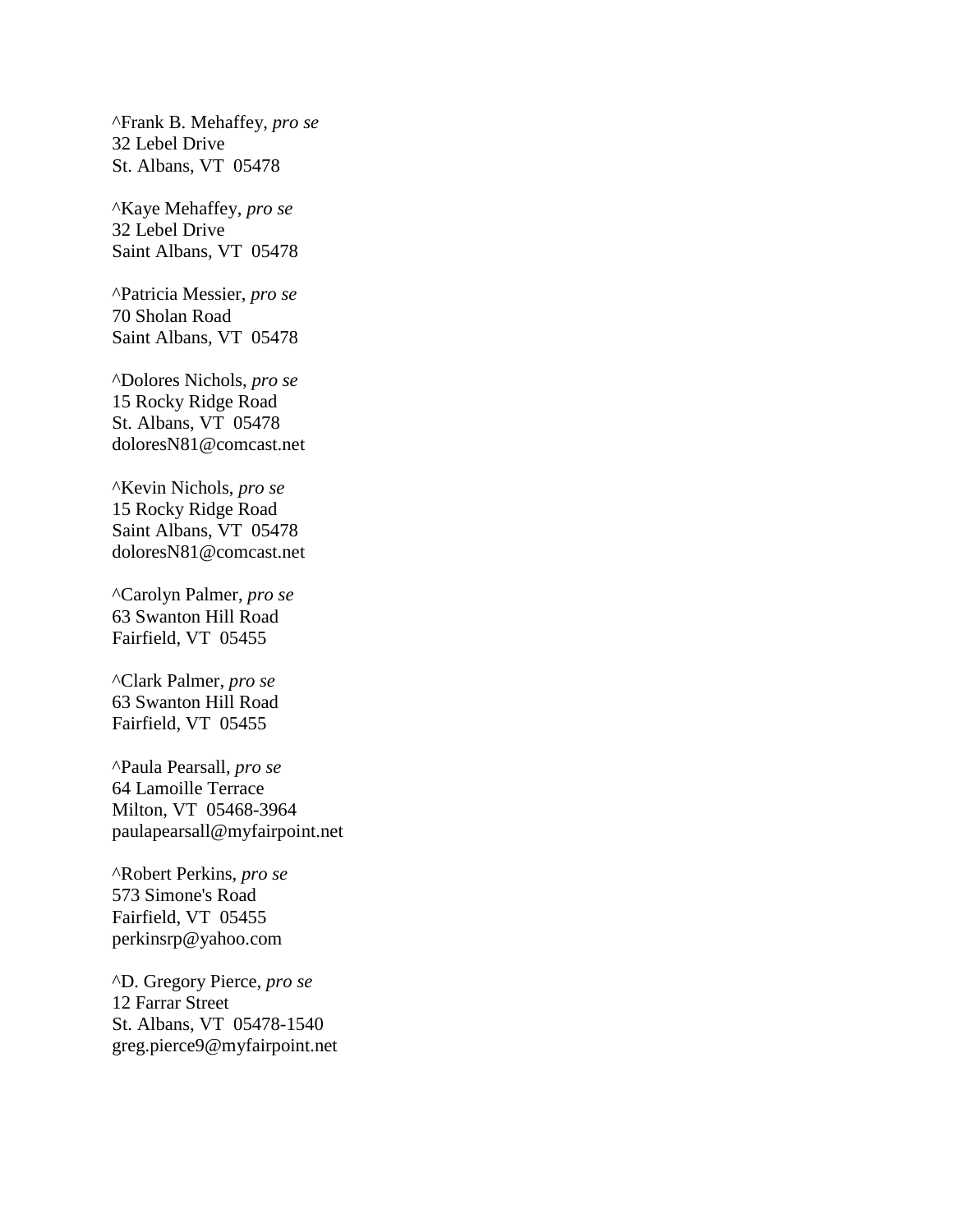^Frank B. Mehaffey, *pro se* 32 Lebel Drive St. Albans, VT 05478

^Kaye Mehaffey, *pro se* 32 Lebel Drive Saint Albans, VT 05478

^Patricia Messier, *pro se* 70 Sholan Road Saint Albans, VT 05478

^Dolores Nichols, *pro se* 15 Rocky Ridge Road St. Albans, VT 05478 doloresN81@comcast.net

^Kevin Nichols, *pro se* 15 Rocky Ridge Road Saint Albans, VT 05478 doloresN81@comcast.net

^Carolyn Palmer, *pro se* 63 Swanton Hill Road Fairfield, VT 05455

^Clark Palmer, *pro se* 63 Swanton Hill Road Fairfield, VT 05455

^Paula Pearsall, *pro se* 64 Lamoille Terrace Milton, VT 05468-3964 paulapearsall@myfairpoint.net

^Robert Perkins, *pro se* 573 Simone's Road Fairfield, VT 05455 perkinsrp@yahoo.com

^D. Gregory Pierce, *pro se* 12 Farrar Street St. Albans, VT 05478-1540 greg.pierce9@myfairpoint.net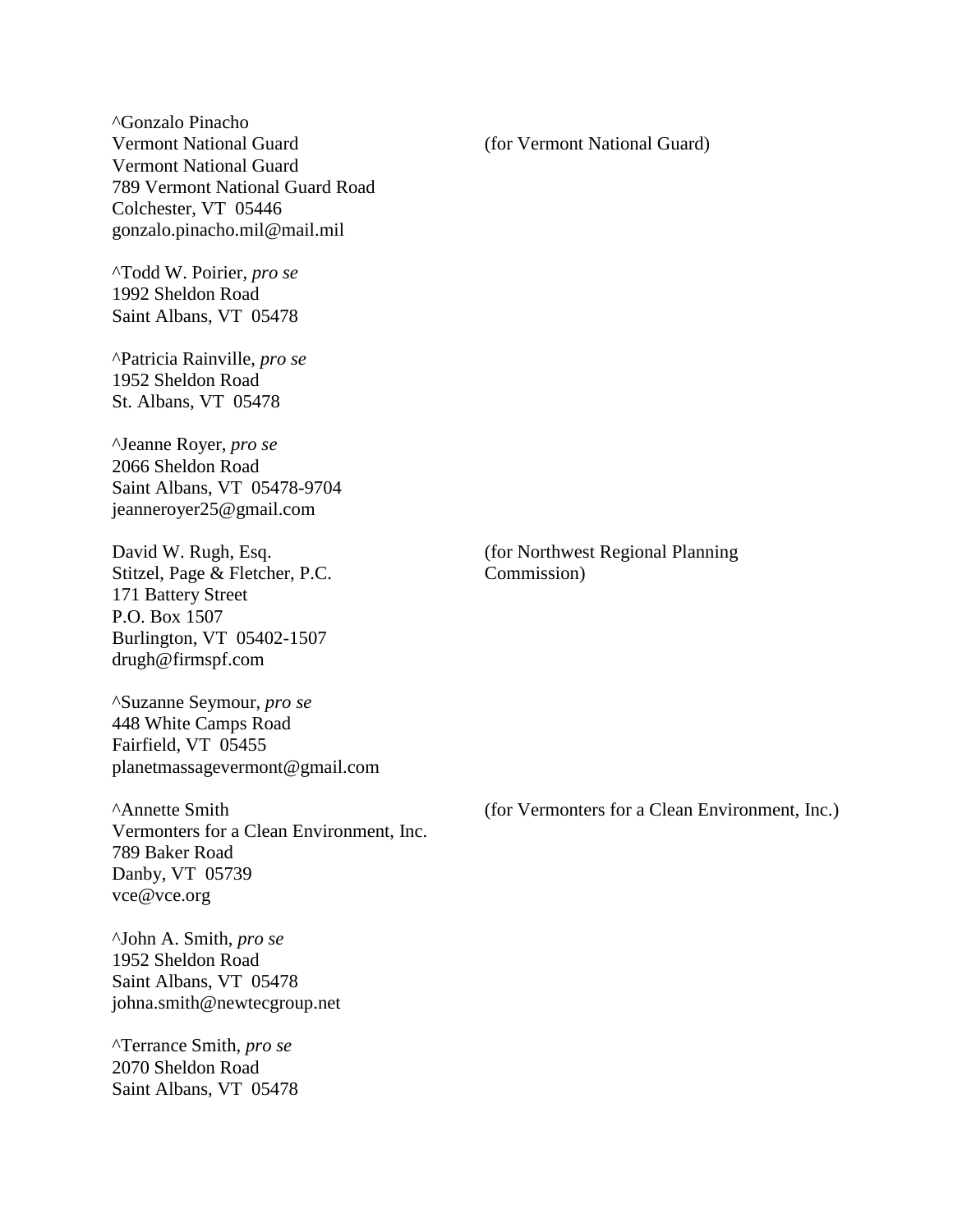^Gonzalo Pinacho Vermont National Guard Vermont National Guard 789 Vermont National Guard Road Colchester, VT 05446 gonzalo.pinacho.mil@mail.mil

^Todd W. Poirier, *pro se* 1992 Sheldon Road Saint Albans, VT 05478

^Patricia Rainville, *pro se* 1952 Sheldon Road St. Albans, VT 05478

^Jeanne Royer, *pro se* 2066 Sheldon Road Saint Albans, VT 05478-9704 jeanneroyer25@gmail.com

David W. Rugh, Esq. Stitzel, Page & Fletcher, P.C. 171 Battery Street P.O. Box 1507 Burlington, VT 05402-1507 drugh@firmspf.com

^Suzanne Seymour, *pro se* 448 White Camps Road Fairfield, VT 05455 planetmassagevermont@gmail.com

^Annette Smith Vermonters for a Clean Environment, Inc. 789 Baker Road Danby, VT 05739 vce@vce.org

^John A. Smith, *pro se* 1952 Sheldon Road Saint Albans, VT 05478 johna.smith@newtecgroup.net

^Terrance Smith, *pro se* 2070 Sheldon Road Saint Albans, VT 05478 (for Vermont National Guard)

(for Northwest Regional Planning Commission)

(for Vermonters for a Clean Environment, Inc.)